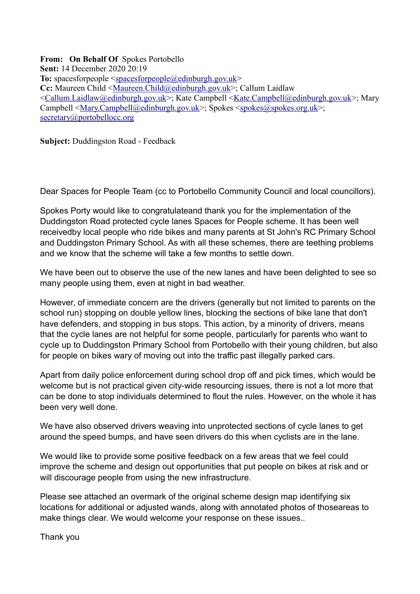**From: On Behalf Of** Spokes Portobello **Sent:** 14 December 2020 20:19 **To:** spacesforpeople [<spacesforpeople@edinburgh.gov.uk>](mailto:spacesforpeople@edinburgh.gov.uk) **Cc:** Maureen Child [<Maureen.Child@edinburgh.gov.uk>](mailto:Maureen.Child@edinburgh.gov.uk); Callum Laidlaw [<Callum.Laidlaw@edinburgh.gov.uk>](mailto:Callum.Laidlaw@edinburgh.gov.uk); Kate Campbell [<Kate.Campbell@edinburgh.gov.uk>](mailto:Kate.Campbell@edinburgh.gov.uk); Mary Campbell [<Mary.Campbell@edinburgh.gov.uk>](mailto:Mary.Campbell@edinburgh.gov.uk); Spokes [<spokes@spokes.org.uk>](mailto:spokes@spokes.org.uk); [secretary@portobellocc.org](mailto:secretary@portobellocc.org)

**Subject:** Duddingston Road - Feedback

Dear Spaces for People Team (cc to Portobello Community Council and local councillors).

Spokes Porty would like to congratulateand thank you for the implementation of the Duddingston Road protected cycle lanes Spaces for People scheme. It has been well receivedby local people who ride bikes and many parents at St John's RC Primary School and Duddingston Primary School. As with all these schemes, there are teething problems and we know that the scheme will take a few months to settle down.

We have been out to observe the use of the new lanes and have been delighted to see so many people using them, even at night in bad weather.

However, of immediate concern are the drivers (generally but not limited to parents on the school run) stopping on double yellow lines, blocking the sections of bike lane that don't have defenders, and stopping in bus stops. This action, by a minority of drivers, means that the cycle lanes are not helpful for some people, particularly for parents who want to cycle up to Duddingston Primary School from Portobello with their young children, but also for people on bikes wary of moving out into the traffic past illegally parked cars.

Apart from daily police enforcement during school drop off and pick times, which would be welcome but is not practical given city-wide resourcing issues, there is not a lot more that can be done to stop individuals determined to flout the rules. However, on the whole it has been very well done.

We have also observed drivers weaving into unprotected sections of cycle lanes to get around the speed bumps, and have seen drivers do this when cyclists are in the lane.

We would like to provide some positive feedback on a few areas that we feel could improve the scheme and design out opportunities that put people on bikes at risk and or will discourage people from using the new infrastructure.

Please see attached an overmark of the original scheme design map identifying six locations for additional or adjusted wands, along with annotated photos of thoseareas to make things clear. We would welcome your response on these issues..

Thank you